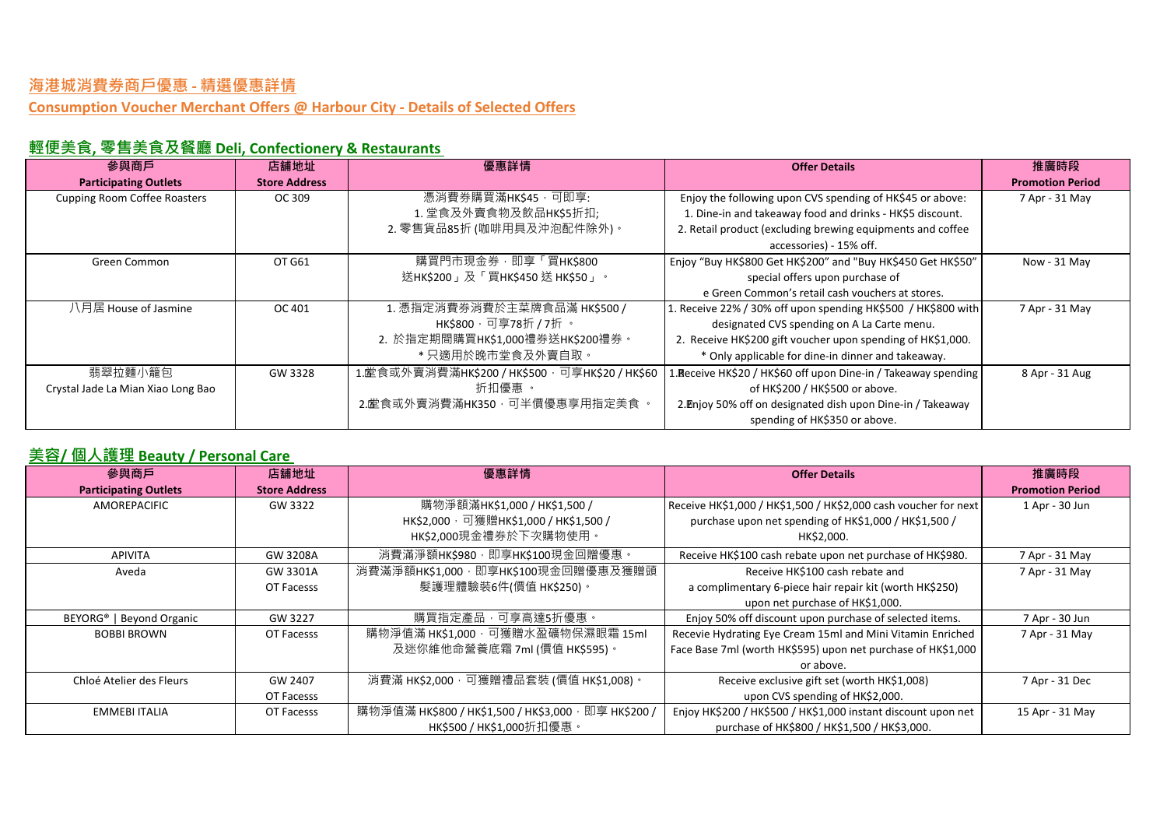**Consumption Voucher Merchant Offers @ Harbour City - Details of Selected Offers**

# **輕便美食, 零售美食及餐廳 Deli, Confectionery & Restaurants**

| 參與商戶                                | 店舖地址                 | 優惠詳情                                             | <b>Offer Details</b>                                            | 推廣時段                    |
|-------------------------------------|----------------------|--------------------------------------------------|-----------------------------------------------------------------|-------------------------|
| <b>Participating Outlets</b>        | <b>Store Address</b> |                                                  |                                                                 | <b>Promotion Period</b> |
| <b>Cupping Room Coffee Roasters</b> | OC 309               | 憑消費券購買滿HK\$45 , 可即享:                             | Enjoy the following upon CVS spending of HK\$45 or above:       | 7 Apr - 31 May          |
|                                     |                      | 1. 堂食及外賣食物及飲品HK\$5折扣;                            | 1. Dine-in and takeaway food and drinks - HK\$5 discount.       |                         |
|                                     |                      | 2. 零售貨品85折 (咖啡用具及沖泡配件除外)。                        | 2. Retail product (excluding brewing equipments and coffee      |                         |
|                                     |                      |                                                  | accessories) - 15% off.                                         |                         |
| Green Common                        | OT G61               | 購買門市現金券, 即享「買HK\$800                             | Enjoy "Buy HK\$800 Get HK\$200" and "Buy HK\$450 Get HK\$50"    | Now - 31 May            |
|                                     |                      | 送НК\$200」及「買НК\$450送НК\$50」。                     | special offers upon purchase of                                 |                         |
|                                     |                      |                                                  | e Green Common's retail cash vouchers at stores.                |                         |
| 八月居 House of Jasmine                | OC 401               | 1. 憑指定消費券消費於主菜牌食品滿 HK\$500 /                     | 1. Receive 22% / 30% off upon spending HK\$500 / HK\$800 with   | 7 Apr - 31 May          |
|                                     |                      | HK\$800 · 可享78折 / 7折 ·                           | designated CVS spending on A La Carte menu.                     |                         |
|                                     |                      | 2. 於指定期間購買HK\$1,000禮券送HK\$200禮券。                 | 2. Receive HK\$200 gift voucher upon spending of HK\$1,000.     |                         |
|                                     |                      | * 只適用於晚市堂食及外賣自取。                                 | * Only applicable for dine-in dinner and takeaway.              |                         |
| 翡翠拉麵小籠包                             | GW 3328              | 1. 堂食或外賣消費滿HK\$200 / HK\$500 · 可享HK\$20 / HK\$60 | 1. Receive HK\$20 / HK\$60 off upon Dine-in / Takeaway spending | 8 Apr - 31 Aug          |
| Crystal Jade La Mian Xiao Long Bao  |                      | 折扣優惠 。                                           | of HK\$200 / HK\$500 or above.                                  |                         |
|                                     |                      | 2.堂食或外賣消費滿HK350 · 可半價優惠享用指定美食 ·                  | 2. Enjoy 50% off on designated dish upon Dine-in / Takeaway     |                         |
|                                     |                      |                                                  | spending of HK\$350 or above.                                   |                         |

#### **美容/ 個人護理 Beauty / Personal Care**

| 參與商戶                                 | 店舖地址                 | 優惠詳情                                                 | <b>Offer Details</b>                                            | 推廣時段                    |
|--------------------------------------|----------------------|------------------------------------------------------|-----------------------------------------------------------------|-------------------------|
| <b>Participating Outlets</b>         | <b>Store Address</b> |                                                      |                                                                 | <b>Promotion Period</b> |
| AMOREPACIFIC                         | GW 3322              | 購物淨額滿HK\$1,000 / HK\$1,500 /                         | Receive HK\$1,000 / HK\$1,500 / HK\$2,000 cash voucher for next | 1 Apr - 30 Jun          |
|                                      |                      | НК\$2,000,可獲贈НК\$1,000 / НК\$1,500 /                 | purchase upon net spending of HK\$1,000 / HK\$1,500 /           |                         |
|                                      |                      | HK\$2,000現金禮券於下次購物使用。                                | HK\$2,000.                                                      |                         |
| <b>APIVITA</b>                       | GW 3208A             | 消費滿淨額HK\$980, 即享HK\$100現金回贈優惠。                       | Receive HK\$100 cash rebate upon net purchase of HK\$980.       | 7 Apr - 31 May          |
| Aveda                                | GW 3301A             | 消費滿淨額HK\$1,000, 即享HK\$100現金回贈優惠及獲贈頭                  | Receive HK\$100 cash rebate and                                 | 7 Apr - 31 May          |
|                                      | OT Facesss           | 髮護理體驗裝6件(價值 HK\$250)。                                | a complimentary 6-piece hair repair kit (worth HK\$250)         |                         |
|                                      |                      |                                                      | upon net purchase of HK\$1,000.                                 |                         |
| BEYORG <sup>®</sup>   Beyond Organic | GW 3227              | 購買指定產品,可享高達5折優惠。                                     | Enjoy 50% off discount upon purchase of selected items.         | 7 Apr - 30 Jun          |
| <b>BOBBI BROWN</b>                   | OT Facesss           | 購物淨值滿 HK\$1,000 · 可獲贈水盈礦物保濕眼霜 15ml                   | Recevie Hydrating Eye Cream 15ml and Mini Vitamin Enriched      | 7 Apr - 31 May          |
|                                      |                      | 及迷你維他命營養底霜 7ml (價值 HK\$595)。                         | Face Base 7ml (worth HK\$595) upon net purchase of HK\$1,000    |                         |
|                                      |                      |                                                      | or above.                                                       |                         |
| Chloé Atelier des Fleurs             | GW 2407              | 消費滿 HK\$2,000,可獲贈禮品套裝 (價值 HK\$1,008)。                | Receive exclusive gift set (worth HK\$1,008)                    | 7 Apr - 31 Dec          |
|                                      | OT Facesss           |                                                      | upon CVS spending of HK\$2,000.                                 |                         |
| <b>EMMEBI ITALIA</b>                 | OT Facesss           | 購物淨值滿 НК\$800 / НК\$1,500 / НК\$3,000 · 即享 НК\$200 / | Enjoy HK\$200 / HK\$500 / HK\$1,000 instant discount upon net   | 15 Apr - 31 May         |
|                                      |                      | HK\$500 / HK\$1,000折扣優惠。                             | purchase of HK\$800 / HK\$1,500 / HK\$3,000.                    |                         |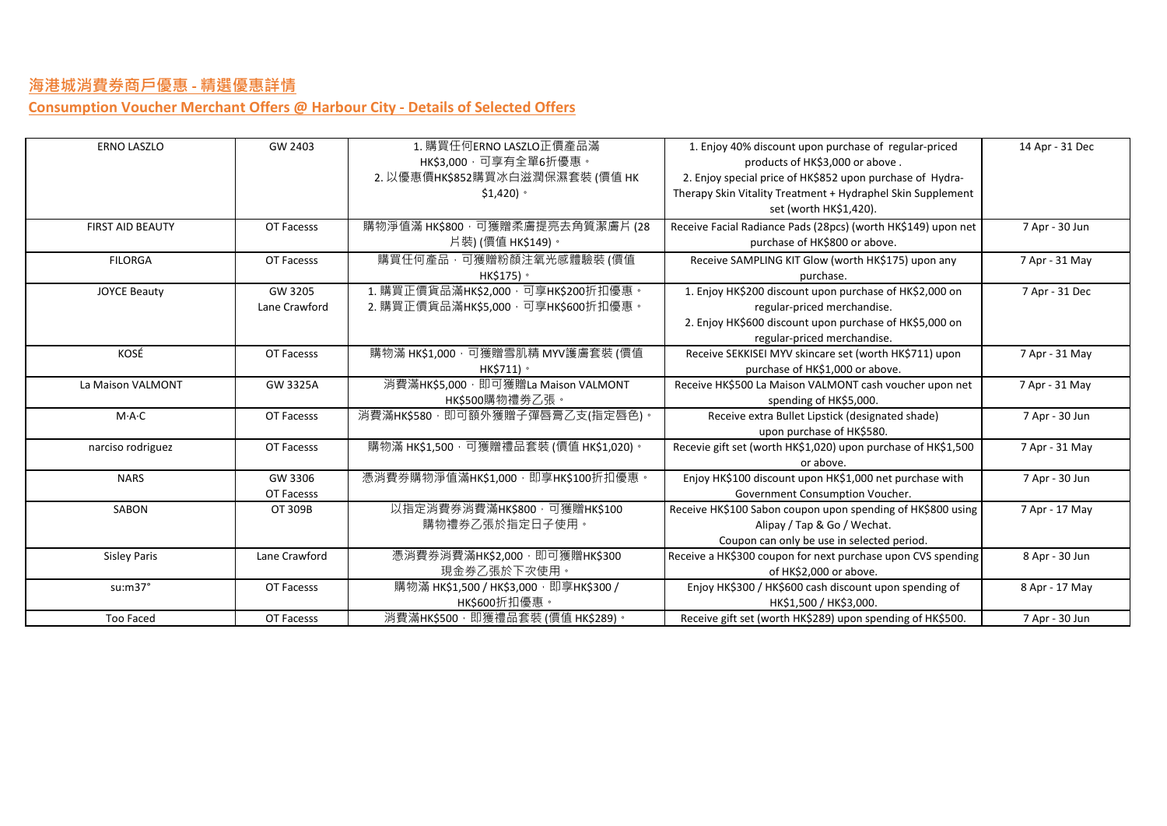**Consumption Voucher Merchant Offers @ Harbour City - Details of Selected Offers**

| <b>ERNO LASZLO</b>      | GW 2403       | 1. 購買任何ERNO LASZLO正價產品滿                  | 1. Enjoy 40% discount upon purchase of regular-priced         | 14 Apr - 31 Dec |
|-------------------------|---------------|------------------------------------------|---------------------------------------------------------------|-----------------|
|                         |               | HK\$3,000,可享有全單6折優惠。                     | products of HK\$3,000 or above.                               |                 |
|                         |               | 2. 以優惠價HK\$852購買冰白滋潤保濕套裝(價值 HK           | 2. Enjoy special price of HK\$852 upon purchase of Hydra-     |                 |
|                         |               | $$1,420$ $^{\circ}$                      | Therapy Skin Vitality Treatment + Hydraphel Skin Supplement   |                 |
|                         |               |                                          | set (worth HK\$1,420).                                        |                 |
| <b>FIRST AID BEAUTY</b> | OT Facesss    | 購物淨值滿 HK\$800,可獲贈柔膚提亮去角質潔膚片 (28          | Receive Facial Radiance Pads (28pcs) (worth HK\$149) upon net | 7 Apr - 30 Jun  |
|                         |               | 片裝) (價值 HK\$149)。                        | purchase of HK\$800 or above.                                 |                 |
| <b>FILORGA</b>          | OT Facesss    | 購買任何產品,可獲贈粉顏注氧光感體驗裝(價值                   | Receive SAMPLING KIT Glow (worth HK\$175) upon any            | 7 Apr - 31 May  |
|                         |               | HK\$175) ·                               | purchase.                                                     |                 |
| <b>JOYCE Beauty</b>     | GW 3205       | 1. 購買正價貨品滿HK\$2,000,可享HK\$200折扣優惠。       | 1. Enjoy HK\$200 discount upon purchase of HK\$2,000 on       | 7 Apr - 31 Dec  |
|                         | Lane Crawford | 2. 購買正價貨品滿HK\$5,000,可享HK\$600折扣優惠。       | regular-priced merchandise.                                   |                 |
|                         |               |                                          | 2. Enjoy HK\$600 discount upon purchase of HK\$5,000 on       |                 |
|                         |               |                                          | regular-priced merchandise.                                   |                 |
| KOSÉ                    | OT Facesss    | 購物滿 HK\$1,000 · 可獲贈雪肌精 MYV護膚套裝 (價值       | Receive SEKKISEI MYV skincare set (worth HK\$711) upon        | 7 Apr - 31 May  |
|                         |               | HK\$711) •                               | purchase of HK\$1,000 or above.                               |                 |
| La Maison VALMONT       | GW 3325A      | 消費滿HK\$5,000, 即可獲贈La Maison VALMONT      | Receive HK\$500 La Maison VALMONT cash voucher upon net       | 7 Apr - 31 May  |
|                         |               | HK\$500購物禮劵乙張。                           | spending of HK\$5,000.                                        |                 |
| M·A·C                   | OT Facesss    | 消費滿HK\$580,即可額外獲贈子彈唇膏乙支(指定唇色)。           | Receive extra Bullet Lipstick (designated shade)              | 7 Apr - 30 Jun  |
|                         |               |                                          | upon purchase of HK\$580.                                     |                 |
| narciso rodriguez       | OT Facesss    | 購物滿 HK\$1,500 · 可獲贈禮品套裝 (價值 HK\$1,020) · | Recevie gift set (worth HK\$1,020) upon purchase of HK\$1,500 | 7 Apr - 31 May  |
|                         |               |                                          | or above.                                                     |                 |
| <b>NARS</b>             | GW 3306       | 憑消費券購物淨值滿HK\$1,000, 即享HK\$100折扣優惠。       | Enjoy HK\$100 discount upon HK\$1,000 net purchase with       | 7 Apr - 30 Jun  |
|                         | OT Facesss    |                                          | Government Consumption Voucher.                               |                 |
| SABON                   | OT 309B       | 以指定消費券消費滿HK\$800,可獲贈HK\$100              | Receive HK\$100 Sabon coupon upon spending of HK\$800 using   | 7 Apr - 17 May  |
|                         |               | 購物禮券乙張於指定日子使用。                           | Alipay / Tap & Go / Wechat.                                   |                 |
|                         |               |                                          | Coupon can only be use in selected period.                    |                 |
| <b>Sisley Paris</b>     | Lane Crawford | 憑消費券消費滿HK\$2,000, 即可獲贈HK\$300            | Receive a HK\$300 coupon for next purchase upon CVS spending  | 8 Apr - 30 Jun  |
|                         |               | 現金券乙張於下次使用。                              | of HK\$2,000 or above.                                        |                 |
| su:m37°                 | OT Facesss    | 購物滿 НК\$1,500 / НК\$3,000, 即享НК\$300 /   | Enjoy HK\$300 / HK\$600 cash discount upon spending of        | 8 Apr - 17 May  |
|                         |               | HK\$600折扣優惠。                             | HK\$1.500 / HK\$3.000.                                        |                 |
| Too Faced               | OT Facesss    | 消費滿HK\$500, 即獲禮品套裝 (價值 HK\$289)。         | Receive gift set (worth HK\$289) upon spending of HK\$500.    | 7 Apr - 30 Jun  |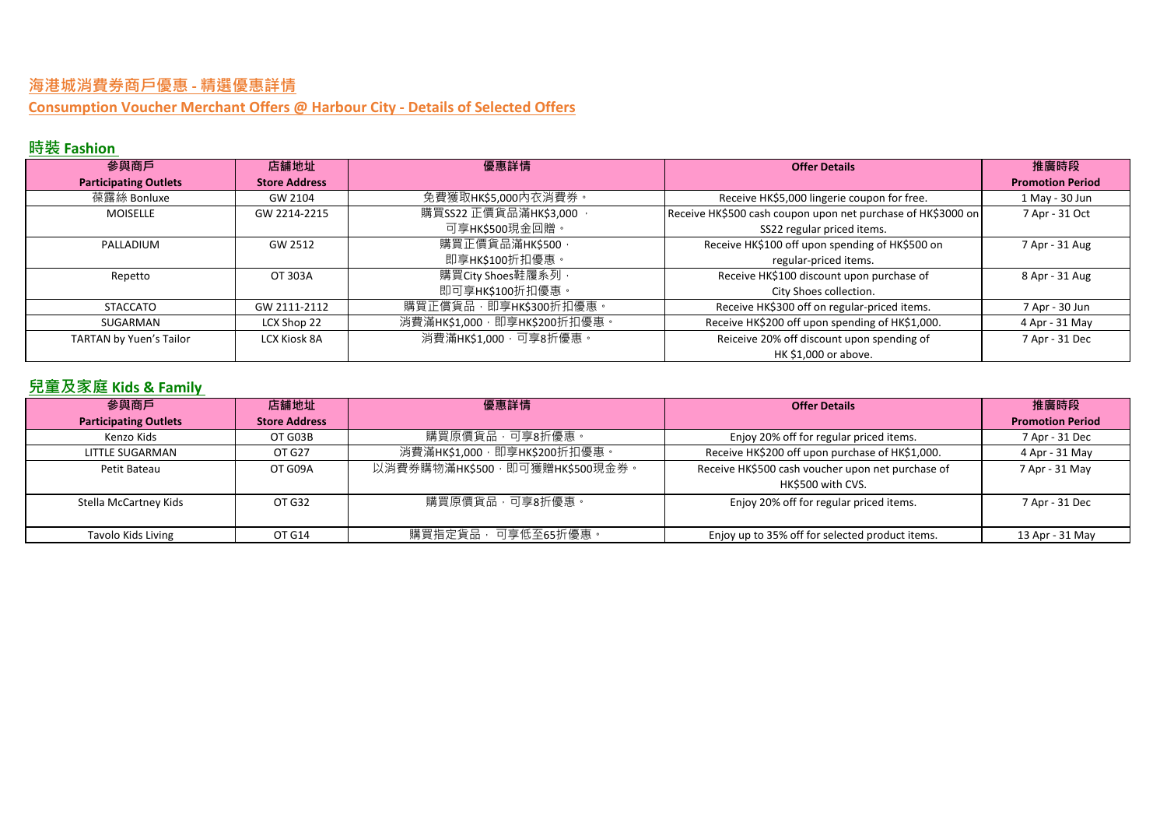**Consumption Voucher Merchant Offers @ Harbour City - Details of Selected Offers**

# **時裝 Fashion**

| 參與商戶                           | 店舖地址                 | 優惠詳情                         | <b>Offer Details</b>                                         | 推廣時段                    |
|--------------------------------|----------------------|------------------------------|--------------------------------------------------------------|-------------------------|
| <b>Participating Outlets</b>   | <b>Store Address</b> |                              |                                                              | <b>Promotion Period</b> |
| 葆露絲 Bonluxe                    | GW 2104              | 免費獲取HK\$5,000內衣消費券。          | Receive HK\$5,000 lingerie coupon for free.                  | 1 May - 30 Jun          |
| <b>MOISELLE</b>                | GW 2214-2215         | 購買SS22 正價貨品滿HK\$3,000,       | Receive HK\$500 cash coupon upon net purchase of HK\$3000 on | 7 Apr - 31 Oct          |
|                                |                      | 可享HK\$500現金回贈。               | SS22 regular priced items.                                   |                         |
| PALLADIUM                      | GW 2512              | 購買正價貨品滿HK\$500 ·             | Receive HK\$100 off upon spending of HK\$500 on              | 7 Apr - 31 Aug          |
|                                |                      | 即享HK\$100折扣優惠。               | regular-priced items.                                        |                         |
| Repetto                        | OT 303A              | 購買City Shoes鞋履系列,            | Receive HK\$100 discount upon purchase of                    | 8 Apr - 31 Aug          |
|                                |                      | 即可享HK\$100折扣優惠。              | City Shoes collection.                                       |                         |
| <b>STACCATO</b>                | GW 2111-2112         | 購買正償貨品, 即享HK\$300折扣優惠。       | Receive HK\$300 off on regular-priced items.                 | 7 Apr - 30 Jun          |
| SUGARMAN                       | LCX Shop 22          | 消費滿HK\$1,000, 即享HK\$200折扣優惠。 | Receive HK\$200 off upon spending of HK\$1,000.              | 4 Apr - 31 May          |
| <b>TARTAN by Yuen's Tailor</b> | <b>LCX Kiosk 8A</b>  | 消費滿HK\$1,000,可享8折優惠。         | Reiceive 20% off discount upon spending of                   | 7 Apr - 31 Dec          |
|                                |                      |                              | HK \$1,000 or above.                                         |                         |

## **兒童及家庭 Kids & Family**

| 參與商戶                         | 店舖地址                 | 優惠詳情                            | <b>Offer Details</b>                                                   | 推廣時段                    |
|------------------------------|----------------------|---------------------------------|------------------------------------------------------------------------|-------------------------|
| <b>Participating Outlets</b> | <b>Store Address</b> |                                 |                                                                        | <b>Promotion Period</b> |
| Kenzo Kids                   | OT G03B              | 購買原價貨品,可享8折優惠。                  | Enjoy 20% off for regular priced items.                                | 7 Apr - 31 Dec          |
| LITTLE SUGARMAN              | OT G27               | 消費滿HK\$1,000 · 即享HK\$200折扣優惠 ·  | Receive HK\$200 off upon purchase of HK\$1,000.                        | 4 Apr - 31 May          |
| Petit Bateau                 | OT G09A              | 以消費券購物滿HK\$500, 即可獲贈HK\$500現金券。 | Receive HK\$500 cash voucher upon net purchase of<br>HK\$500 with CVS. | 7 Apr - 31 May          |
| Stella McCartney Kids        | OT G32               | 購買原價貨品,可享8折優惠。                  | Enjoy 20% off for regular priced items.                                | 7 Apr - 31 Dec          |
| Tavolo Kids Living           | OT G14               | 購買指定貨品, 可享低至65折優惠。              | Enjoy up to 35% off for selected product items.                        | 13 Apr - 31 May         |